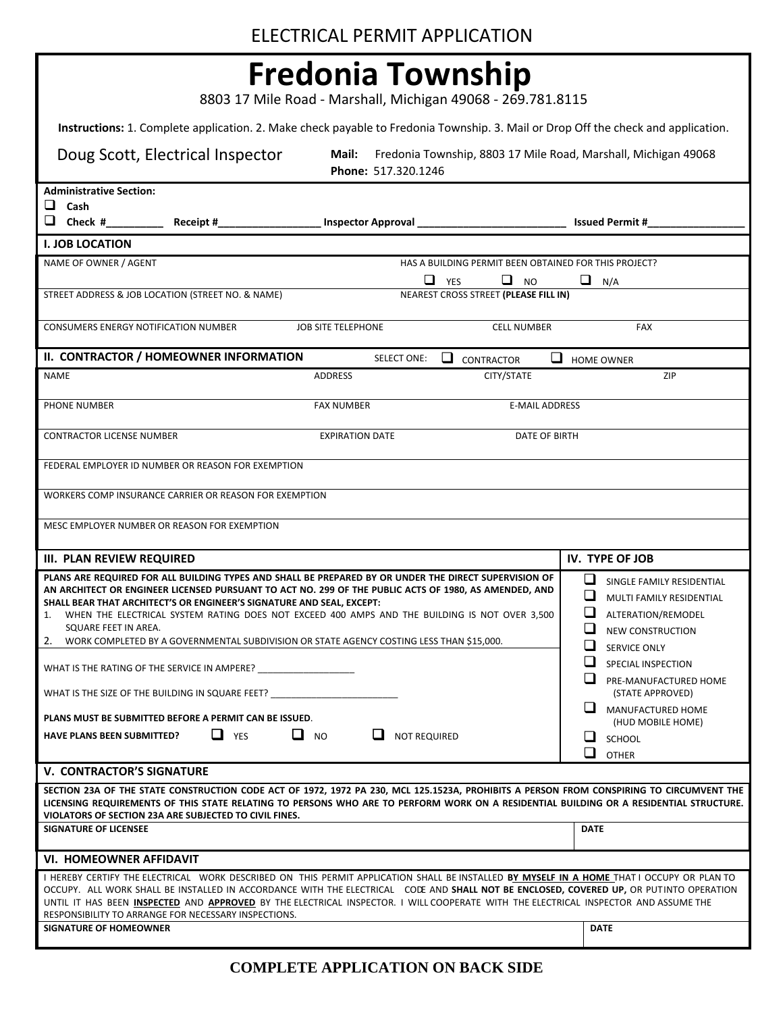## **Fredonia Township**

8803 17 Mile Road - Marshall, Michigan 49068 - 269.781.8115

**Instructions:** 1. Complete application. 2. Make check payable to Fredonia Township. 3. Mail or Drop Off the check and application.

|                                                                                                                                                                                                                | Doug Scott, Electrical Inspector                                      | Mail:<br>Phone: 517.320.1246                                                                                                        |                                                       | Fredonia Township, 8803 17 Mile Road, Marshall, Michigan 49068                                                                                                                                                                                                                      |
|----------------------------------------------------------------------------------------------------------------------------------------------------------------------------------------------------------------|-----------------------------------------------------------------------|-------------------------------------------------------------------------------------------------------------------------------------|-------------------------------------------------------|-------------------------------------------------------------------------------------------------------------------------------------------------------------------------------------------------------------------------------------------------------------------------------------|
| <b>Administrative Section:</b>                                                                                                                                                                                 |                                                                       |                                                                                                                                     |                                                       |                                                                                                                                                                                                                                                                                     |
| $\Box$ Cash                                                                                                                                                                                                    |                                                                       |                                                                                                                                     |                                                       |                                                                                                                                                                                                                                                                                     |
|                                                                                                                                                                                                                |                                                                       |                                                                                                                                     |                                                       |                                                                                                                                                                                                                                                                                     |
| <b>I. JOB LOCATION</b>                                                                                                                                                                                         |                                                                       |                                                                                                                                     |                                                       |                                                                                                                                                                                                                                                                                     |
| NAME OF OWNER / AGENT                                                                                                                                                                                          |                                                                       | $\Box$ YES                                                                                                                          | HAS A BUILDING PERMIT BEEN OBTAINED FOR THIS PROJECT? |                                                                                                                                                                                                                                                                                     |
|                                                                                                                                                                                                                | STREET ADDRESS & JOB LOCATION (STREET NO. & NAME)                     |                                                                                                                                     | $\Box$ NO<br>NEAREST CROSS STREET (PLEASE FILL IN)    | $\Box$ N/A                                                                                                                                                                                                                                                                          |
|                                                                                                                                                                                                                |                                                                       |                                                                                                                                     |                                                       |                                                                                                                                                                                                                                                                                     |
| CONSUMERS ENERGY NOTIFICATION NUMBER                                                                                                                                                                           |                                                                       | <b>JOB SITE TELEPHONE</b>                                                                                                           | <b>CELL NUMBER</b>                                    | <b>FAX</b>                                                                                                                                                                                                                                                                          |
|                                                                                                                                                                                                                | II. CONTRACTOR / HOMEOWNER INFORMATION                                | <b>SELECT ONE:</b>                                                                                                                  | ப<br><b>CONTRACTOR</b><br>ப                           | <b>HOME OWNER</b>                                                                                                                                                                                                                                                                   |
| <b>NAME</b>                                                                                                                                                                                                    |                                                                       | <b>ADDRESS</b>                                                                                                                      | CITY/STATE                                            | ZIP                                                                                                                                                                                                                                                                                 |
| PHONE NUMBER                                                                                                                                                                                                   |                                                                       | <b>FAX NUMBER</b>                                                                                                                   | <b>E-MAIL ADDRESS</b>                                 |                                                                                                                                                                                                                                                                                     |
|                                                                                                                                                                                                                |                                                                       |                                                                                                                                     |                                                       |                                                                                                                                                                                                                                                                                     |
| <b>CONTRACTOR LICENSE NUMBER</b>                                                                                                                                                                               |                                                                       | <b>EXPIRATION DATE</b>                                                                                                              | DATE OF BIRTH                                         |                                                                                                                                                                                                                                                                                     |
|                                                                                                                                                                                                                |                                                                       |                                                                                                                                     |                                                       |                                                                                                                                                                                                                                                                                     |
|                                                                                                                                                                                                                | FEDERAL EMPLOYER ID NUMBER OR REASON FOR EXEMPTION                    |                                                                                                                                     |                                                       |                                                                                                                                                                                                                                                                                     |
|                                                                                                                                                                                                                | WORKERS COMP INSURANCE CARRIER OR REASON FOR EXEMPTION                |                                                                                                                                     |                                                       |                                                                                                                                                                                                                                                                                     |
|                                                                                                                                                                                                                | MESC EMPLOYER NUMBER OR REASON FOR EXEMPTION                          |                                                                                                                                     |                                                       |                                                                                                                                                                                                                                                                                     |
|                                                                                                                                                                                                                |                                                                       |                                                                                                                                     |                                                       |                                                                                                                                                                                                                                                                                     |
| <b>III. PLAN REVIEW REQUIRED</b>                                                                                                                                                                               |                                                                       |                                                                                                                                     |                                                       | IV. TYPE OF JOB                                                                                                                                                                                                                                                                     |
| PLANS ARE REQUIRED FOR ALL BUILDING TYPES AND SHALL BE PREPARED BY OR UNDER THE DIRECT SUPERVISION OF<br>AN ARCHITECT OR ENGINEER LICENSED PURSUANT TO ACT NO. 299 OF THE PUBLIC ACTS OF 1980, AS AMENDED, AND | ப<br>SINGLE FAMILY RESIDENTIAL                                        |                                                                                                                                     |                                                       |                                                                                                                                                                                                                                                                                     |
|                                                                                                                                                                                                                | SHALL BEAR THAT ARCHITECT'S OR ENGINEER'S SIGNATURE AND SEAL, EXCEPT: |                                                                                                                                     |                                                       | ❏<br>MULTI FAMILY RESIDENTIAL                                                                                                                                                                                                                                                       |
| SQUARE FEET IN AREA.                                                                                                                                                                                           |                                                                       | 1. WHEN THE ELECTRICAL SYSTEM RATING DOES NOT EXCEED 400 AMPS AND THE BUILDING IS NOT OVER 3,500                                    |                                                       | $\Box$<br>ALTERATION/REMODEL<br>⊔                                                                                                                                                                                                                                                   |
|                                                                                                                                                                                                                |                                                                       | 2. WORK COMPLETED BY A GOVERNMENTAL SUBDIVISION OR STATE AGENCY COSTING LESS THAN \$15,000.                                         |                                                       | <b>NEW CONSTRUCTION</b><br>⊔                                                                                                                                                                                                                                                        |
|                                                                                                                                                                                                                |                                                                       |                                                                                                                                     |                                                       | SERVICE ONLY<br>⊔<br>SPECIAL INSPECTION                                                                                                                                                                                                                                             |
|                                                                                                                                                                                                                |                                                                       |                                                                                                                                     |                                                       | ப<br>PRE-MANUFACTURED HOME                                                                                                                                                                                                                                                          |
|                                                                                                                                                                                                                | WHAT IS THE SIZE OF THE BUILDING IN SQUARE FEET?                      |                                                                                                                                     |                                                       | (STATE APPROVED)                                                                                                                                                                                                                                                                    |
|                                                                                                                                                                                                                | PLANS MUST BE SUBMITTED BEFORE A PERMIT CAN BE ISSUED.                |                                                                                                                                     |                                                       | ⊔.<br>MANUFACTURED HOME                                                                                                                                                                                                                                                             |
| <b>HAVE PLANS BEEN SUBMITTED?</b>                                                                                                                                                                              | $\Box$ YES                                                            | $\Box$ NO<br>ப<br><b>NOT REQUIRED</b>                                                                                               |                                                       | (HUD MOBILE HOME)<br>SCHOOL                                                                                                                                                                                                                                                         |
|                                                                                                                                                                                                                |                                                                       |                                                                                                                                     |                                                       | $\Box$<br><b>OTHER</b>                                                                                                                                                                                                                                                              |
| <b>V. CONTRACTOR'S SIGNATURE</b>                                                                                                                                                                               |                                                                       |                                                                                                                                     |                                                       |                                                                                                                                                                                                                                                                                     |
|                                                                                                                                                                                                                |                                                                       |                                                                                                                                     |                                                       | SECTION 23A OF THE STATE CONSTRUCTION CODE ACT OF 1972, 1972 PA 230, MCL 125.1523A, PROHIBITS A PERSON FROM CONSPIRING TO CIRCUMVENT THE<br>LICENSING REQUIREMENTS OF THIS STATE RELATING TO PERSONS WHO ARE TO PERFORM WORK ON A RESIDENTIAL BUILDING OR A RESIDENTIAL STRUCTURE.  |
| <b>SIGNATURE OF LICENSEE</b>                                                                                                                                                                                   | VIOLATORS OF SECTION 23A ARE SUBJECTED TO CIVIL FINES.                |                                                                                                                                     |                                                       | <b>DATE</b>                                                                                                                                                                                                                                                                         |
|                                                                                                                                                                                                                |                                                                       |                                                                                                                                     |                                                       |                                                                                                                                                                                                                                                                                     |
| <b>VI. HOMEOWNER AFFIDAVIT</b>                                                                                                                                                                                 |                                                                       |                                                                                                                                     |                                                       |                                                                                                                                                                                                                                                                                     |
|                                                                                                                                                                                                                |                                                                       | UNTIL IT HAS BEEN INSPECTED AND APPROVED BY THE ELECTRICAL INSPECTOR. I WILL COOPERATE WITH THE ELECTRICAL INSPECTOR AND ASSUME THE |                                                       | I HEREBY CERTIFY THE ELECTRICAL WORK DESCRIBED ON THIS PERMIT APPLICATION SHALL BE INSTALLED BY MYSELF IN A HOME THAT I OCCUPY OR PLAN TO<br>OCCUPY. ALL WORK SHALL BE INSTALLED IN ACCORDANCE WITH THE ELECTRICAL CODE AND SHALL NOT BE ENCLOSED, COVERED UP, OR PUTINTO OPERATION |
| SIGNATURE OF HOMEOWNER                                                                                                                                                                                         | RESPONSIBILITY TO ARRANGE FOR NECESSARY INSPECTIONS.                  |                                                                                                                                     |                                                       | <b>DATE</b>                                                                                                                                                                                                                                                                         |
|                                                                                                                                                                                                                |                                                                       |                                                                                                                                     |                                                       |                                                                                                                                                                                                                                                                                     |
|                                                                                                                                                                                                                |                                                                       |                                                                                                                                     |                                                       |                                                                                                                                                                                                                                                                                     |